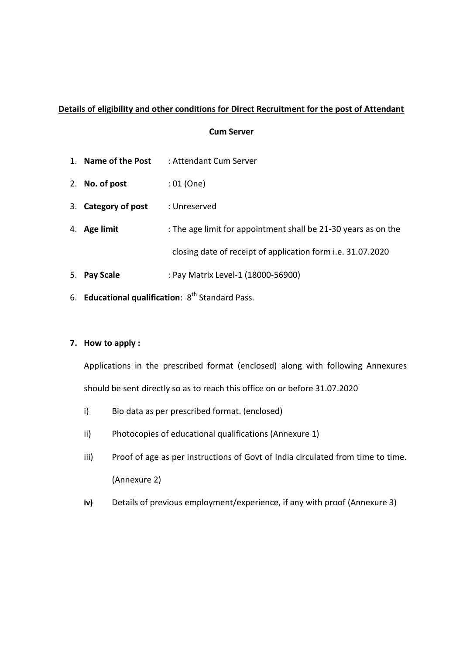# **Details of eligibility and other conditions for Direct Recruitment for the post of Attendant**

## **Cum Server**

- 1. **Name of the Post** : Attendant Cum Server
- 2. **No. of post** : 01 (One)
- 3. **Category of post** : Unreserved
- 4. **Age limit** : The age limit for appointment shall be 21-30 years as on the closing date of receipt of application form i.e. 31.07.2020
- 5. **Pay Scale** : Pay Matrix Level-1 (18000-56900)
- 6. **Educational qualification**: 8<sup>th</sup> Standard Pass.

## **7. How to apply :**

Applications in the prescribed format (enclosed) along with following Annexures should be sent directly so as to reach this office on or before 31.07.2020

- i) Bio data as per prescribed format. (enclosed)
- ii) Photocopies of educational qualifications (Annexure 1)
- iii) Proof of age as per instructions of Govt of India circulated from time to time. (Annexure 2)
- **iv)** Details of previous employment/experience, if any with proof (Annexure 3)